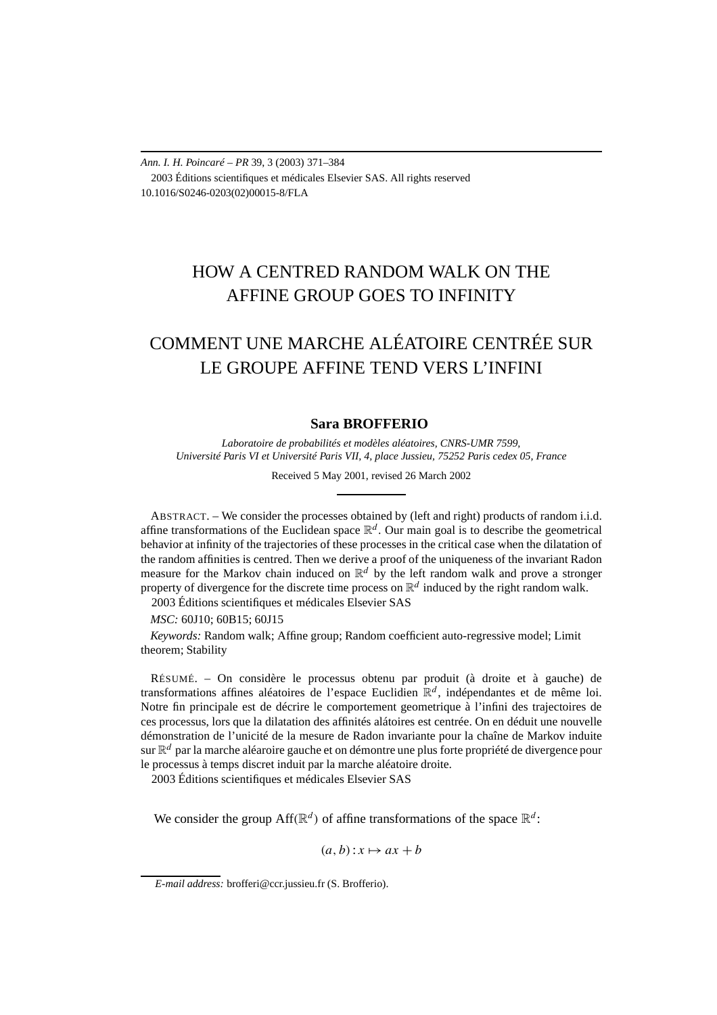*Ann. I. H. Poincaré – PR* 39, 3 (2003) 371–384 2003 Éditions scientifiques et médicales Elsevier SAS. All rights reserved 10.1016/S0246-0203(02)00015-8/FLA

## HOW A CENTRED RANDOM WALK ON THE AFFINE GROUP GOES TO INFINITY

# COMMENT UNE MARCHE ALÉATOIRE CENTRÉE SUR LE GROUPE AFFINE TEND VERS L'INFINI

## **Sara BROFFERIO**

*Laboratoire de probabilités et modèles aléatoires, CNRS-UMR 7599, Université Paris VI et Université Paris VII, 4, place Jussieu, 75252 Paris cedex 05, France*

Received 5 May 2001, revised 26 March 2002

ABSTRACT. – We consider the processes obtained by (left and right) products of random i.i.d. affine transformations of the Euclidean space  $\mathbb{R}^d$ . Our main goal is to describe the geometrical behavior at infinity of the trajectories of these processes in the critical case when the dilatation of the random affinities is centred. Then we derive a proof of the uniqueness of the invariant Radon measure for the Markov chain induced on  $\mathbb{R}^d$  by the left random walk and prove a stronger property of divergence for the discrete time process on  $\mathbb{R}^d$  induced by the right random walk. 2003 Éditions scientifiques et médicales Elsevier SAS

*MSC:* 60J10; 60B15; 60J15

*Keywords:* Random walk; Affine group; Random coefficient auto-regressive model; Limit theorem; Stability

RÉSUMÉ. – On considère le processus obtenu par produit (à droite et à gauche) de transformations affines aléatoires de l'espace Euclidien R*<sup>d</sup>* , indépendantes et de même loi. Notre fin principale est de décrire le comportement geometrique à l'infini des trajectoires de ces processus, lors que la dilatation des affinités alátoires est centrée. On en déduit une nouvelle démonstration de l'unicité de la mesure de Radon invariante pour la chaîne de Markov induite sur R*<sup>d</sup>* par la marche aléaroire gauche et on démontre une plus forte propriété de divergence pour le processus à temps discret induit par la marche aléatoire droite. 2003 Éditions scientifiques et médicales Elsevier SAS

We consider the group  $\text{Aff}(\mathbb{R}^d)$  of affine transformations of the space  $\mathbb{R}^d$ :

 $(a, b): x \mapsto ax + b$ 

*E-mail address:* brofferi@ccr.jussieu.fr (S. Brofferio).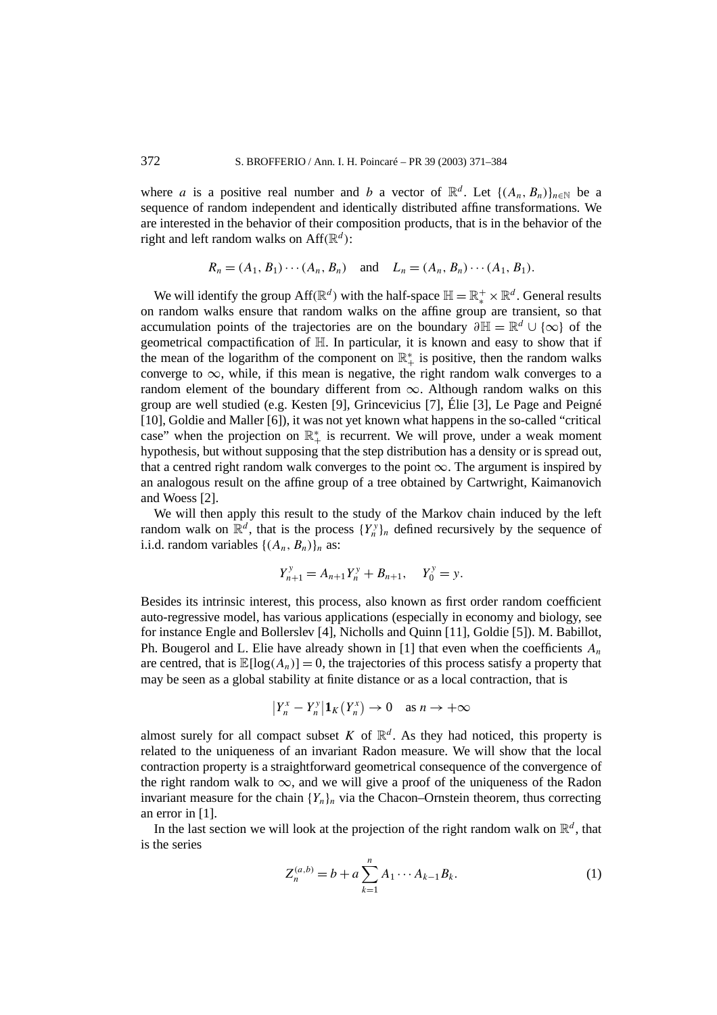where *a* is a positive real number and *b* a vector of  $\mathbb{R}^d$ . Let  $\{(A_n, B_n)\}_{n\in\mathbb{N}}$  be a sequence of random independent and identically distributed affine transformations. We are interested in the behavior of their composition products, that is in the behavior of the right and left random walks on  $\text{Aff}(\mathbb{R}^d)$ :

$$
R_n = (A_1, B_1) \cdots (A_n, B_n)
$$
 and  $L_n = (A_n, B_n) \cdots (A_1, B_1)$ .

We will identify the group  $\text{Aff}(\mathbb{R}^d)$  with the half-space  $\mathbb{H} = \mathbb{R}_*^+ \times \mathbb{R}^d$ . General results on random walks ensure that random walks on the affine group are transient, so that accumulation points of the trajectories are on the boundary  $\partial \mathbb{H} = \mathbb{R}^d \cup \{\infty\}$  of the geometrical compactification of H. In particular, it is known and easy to show that if the mean of the logarithm of the component on  $\mathbb{R}^*$  is positive, then the random walks converge to  $\infty$ , while, if this mean is negative, the right random walk converges to a random element of the boundary different from  $\infty$ . Although random walks on this group are well studied (e.g. Kesten [9], Grincevicius [7], Élie [3], Le Page and Peigné [10], Goldie and Maller [6]), it was not yet known what happens in the so-called "critical case" when the projection on  $\mathbb{R}^*$  is recurrent. We will prove, under a weak moment hypothesis, but without supposing that the step distribution has a density or is spread out, that a centred right random walk converges to the point  $\infty$ . The argument is inspired by an analogous result on the affine group of a tree obtained by Cartwright, Kaimanovich and Woess [2].

We will then apply this result to the study of the Markov chain induced by the left random walk on  $\mathbb{R}^d$ , that is the process  $\{Y_n^y\}_n$  defined recursively by the sequence of i.i.d. random variables  $\{(A_n, B_n)\}_n$  as:

$$
Y_{n+1}^y = A_{n+1}Y_n^y + B_{n+1}, \quad Y_0^y = y.
$$

Besides its intrinsic interest, this process, also known as first order random coefficient auto-regressive model, has various applications (especially in economy and biology, see for instance Engle and Bollerslev [4], Nicholls and Quinn [11], Goldie [5]). M. Babillot, Ph. Bougerol and L. Elie have already shown in [1] that even when the coefficients *An* are centred, that is  $\mathbb{E}[\log(A_n)] = 0$ , the trajectories of this process satisfy a property that may be seen as a global stability at finite distance or as a local contraction, that is

$$
|Y_n^x - Y_n^y| \mathbf{1}_K(Y_n^x) \to 0 \quad \text{as } n \to +\infty
$$

almost surely for all compact subset *K* of  $\mathbb{R}^d$ . As they had noticed, this property is related to the uniqueness of an invariant Radon measure. We will show that the local contraction property is a straightforward geometrical consequence of the convergence of the right random walk to  $\infty$ , and we will give a proof of the uniqueness of the Radon invariant measure for the chain  ${Y_n}_n$  via the Chacon–Ornstein theorem, thus correcting an error in [1].

In the last section we will look at the projection of the right random walk on  $\mathbb{R}^d$ , that is the series

$$
Z_n^{(a,b)} = b + a \sum_{k=1}^n A_1 \cdots A_{k-1} B_k.
$$
 (1)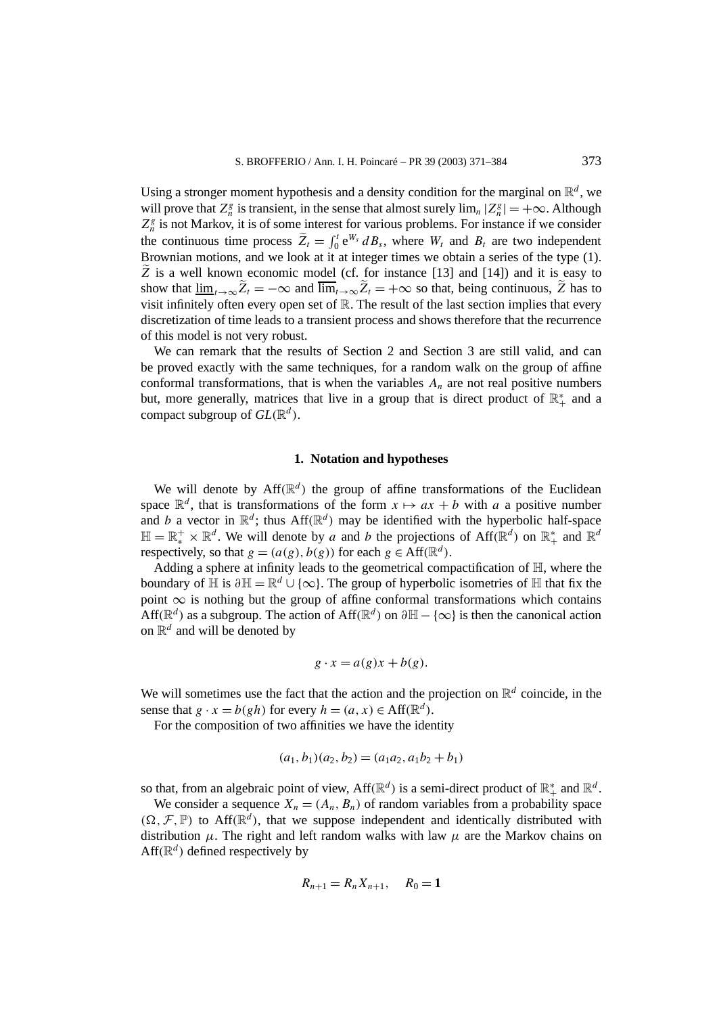Using a stronger moment hypothesis and a density condition for the marginal on  $\mathbb{R}^d$ , we will prove that  $Z_n^g$  is transient, in the sense that almost surely  $\lim_n |Z_n^g| = +\infty$ . Although  $Z_n^g$  is not Markov, it is of some interest for various problems. For instance if we consider the continuous time process  $\tilde{Z}_t = \int_0^t e^{W_s} dB_s$ , where  $W_t$  and  $B_t$  are two independent Brownian motions, and we look at it at integer times we obtain a series of the type (1).  $\overline{Z}$  is a well known economic model (cf. for instance [13] and [14]) and it is easy to show that  $\underline{\lim}_{t\to\infty}\tilde{Z}_t = -\infty$  and  $\overline{\lim}_{t\to\infty}\tilde{Z}_t = +\infty$  so that, being continuous,  $\tilde{Z}$  has to visit infinitely often every open set of  $\mathbb R$ . The result of the last section implies that every discretization of time leads to a transient process and shows therefore that the recurrence of this model is not very robust.

We can remark that the results of Section 2 and Section 3 are still valid, and can be proved exactly with the same techniques, for a random walk on the group of affine conformal transformations, that is when the variables  $A_n$  are not real positive numbers but, more generally, matrices that live in a group that is direct product of  $\mathbb{R}^*_+$  and a compact subgroup of  $GL(\mathbb{R}^d)$ .

#### **1. Notation and hypotheses**

We will denote by  $Aff(\mathbb{R}^d)$  the group of affine transformations of the Euclidean space  $\mathbb{R}^d$ , that is transformations of the form  $x \mapsto ax + b$  with *a* a positive number and *b* a vector in  $\mathbb{R}^d$ ; thus Aff $(\mathbb{R}^d)$  may be identified with the hyperbolic half-space  $\mathbb{H} = \mathbb{R}_*^+ \times \mathbb{R}^d$ . We will denote by *a* and *b* the projections of Aff $(\mathbb{R}^d)$  on  $\mathbb{R}_+^*$  and  $\mathbb{R}^d$ respectively, so that  $g = (a(g), b(g))$  for each  $g \in \text{Aff}(\mathbb{R}^d)$ .

Adding a sphere at infinity leads to the geometrical compactification of  $H$ , where the boundary of  $\overline{\mathbb{H}}$  is  $\partial \mathbb{H} = \mathbb{R}^d \cup \{\infty\}$ . The group of hyperbolic isometries of  $\mathbb{H}$  that fix the point  $\infty$  is nothing but the group of affine conformal transformations which contains Aff $(\mathbb{R}^d)$  as a subgroup. The action of Aff $(\mathbb{R}^d)$  on  $\partial \mathbb{H} - {\infty}$  is then the canonical action on  $\mathbb{R}^d$  and will be denoted by

$$
g \cdot x = a(g)x + b(g).
$$

We will sometimes use the fact that the action and the projection on  $\mathbb{R}^d$  coincide, in the sense that  $g \cdot x = b(gh)$  for every  $h = (a, x) \in Aff(\mathbb{R}^d)$ .

For the composition of two affinities we have the identity

$$
(a_1, b_1)(a_2, b_2) = (a_1a_2, a_1b_2 + b_1)
$$

so that, from an algebraic point of view,  $Aff(\mathbb{R}^d)$  is a semi-direct product of  $\mathbb{R}^*_+$  and  $\mathbb{R}^d$ .

We consider a sequence  $X_n = (A_n, B_n)$  of random variables from a probability space  $(\Omega, \mathcal{F}, \mathbb{P})$  to Aff $(\mathbb{R}^d)$ , that we suppose independent and identically distributed with distribution  $\mu$ . The right and left random walks with law  $\mu$  are the Markov chains on Aff $(\mathbb{R}^d)$  defined respectively by

$$
R_{n+1} = R_n X_{n+1}, \quad R_0 = 1
$$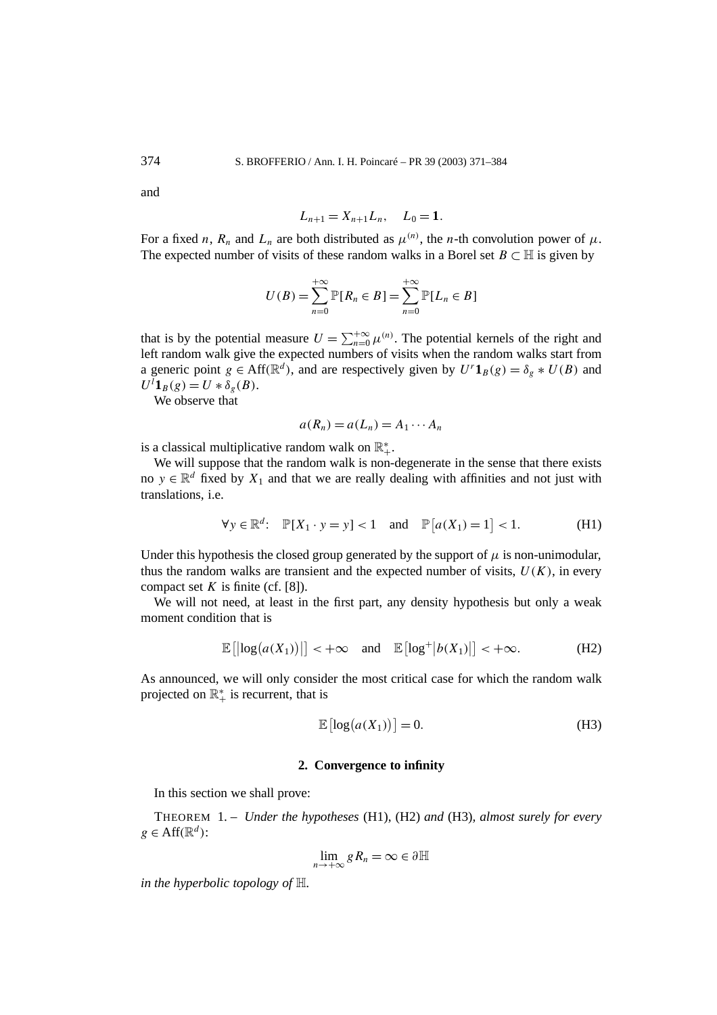and

$$
L_{n+1} = X_{n+1}L_n, \quad L_0 = 1.
$$

For a fixed *n*,  $R_n$  and  $L_n$  are both distributed as  $\mu^{(n)}$ , the *n*-th convolution power of  $\mu$ . The expected number of visits of these random walks in a Borel set  $B \subset \mathbb{H}$  is given by

$$
U(B) = \sum_{n=0}^{+\infty} \mathbb{P}[R_n \in B] = \sum_{n=0}^{+\infty} \mathbb{P}[L_n \in B]
$$

that is by the potential measure  $U = \sum_{n=0}^{+\infty} \mu^{(n)}$ . The potential kernels of the right and left random walk give the expected numbers of visits when the random walks start from a generic point  $g \in \text{Aff}(\mathbb{R}^d)$ , and are respectively given by  $U^r \mathbf{1}_B(g) = \delta_g * U(B)$  and  $U^{l}$ **1**<sub>*B*</sub>(*g*) = *U*  $*\delta_{g}(B)$ .

We observe that

$$
a(R_n) = a(L_n) = A_1 \cdots A_n
$$

is a classical multiplicative random walk on  $\mathbb{R}^*_+$ .

We will suppose that the random walk is non-degenerate in the sense that there exists no  $y \in \mathbb{R}^d$  fixed by  $X_1$  and that we are really dealing with affinities and not just with translations, i.e.

$$
\forall y \in \mathbb{R}^d: \mathbb{P}[X_1 \cdot y = y] < 1 \quad \text{and} \quad \mathbb{P}[a(X_1) = 1] < 1. \tag{H1}
$$

Under this hypothesis the closed group generated by the support of  $\mu$  is non-unimodular, thus the random walks are transient and the expected number of visits,  $U(K)$ , in every compact set  $K$  is finite (cf. [8]).

We will not need, at least in the first part, any density hypothesis but only a weak moment condition that is

$$
\mathbb{E}\left[\left|\log(a(X_1))\right|\right] < +\infty \quad \text{and} \quad \mathbb{E}\left[\log^+|b(X_1)|\right] < +\infty. \tag{H2}
$$

As announced, we will only consider the most critical case for which the random walk projected on  $\mathbb{R}^*$  is recurrent, that is

$$
\mathbb{E}\left[\log(a(X_1))\right] = 0. \tag{H3}
$$

### **2. Convergence to infinity**

In this section we shall prove:

THEOREM 1. – *Under the hypotheses* (H1), (H2) *and* (H3)*, almost surely for every*  $g \in \text{Aff}(\mathbb{R}^d)$ :

$$
\lim_{n\to+\infty} g R_n = \infty \in \partial \mathbb{H}
$$

*in the hyperbolic topology of* H*.*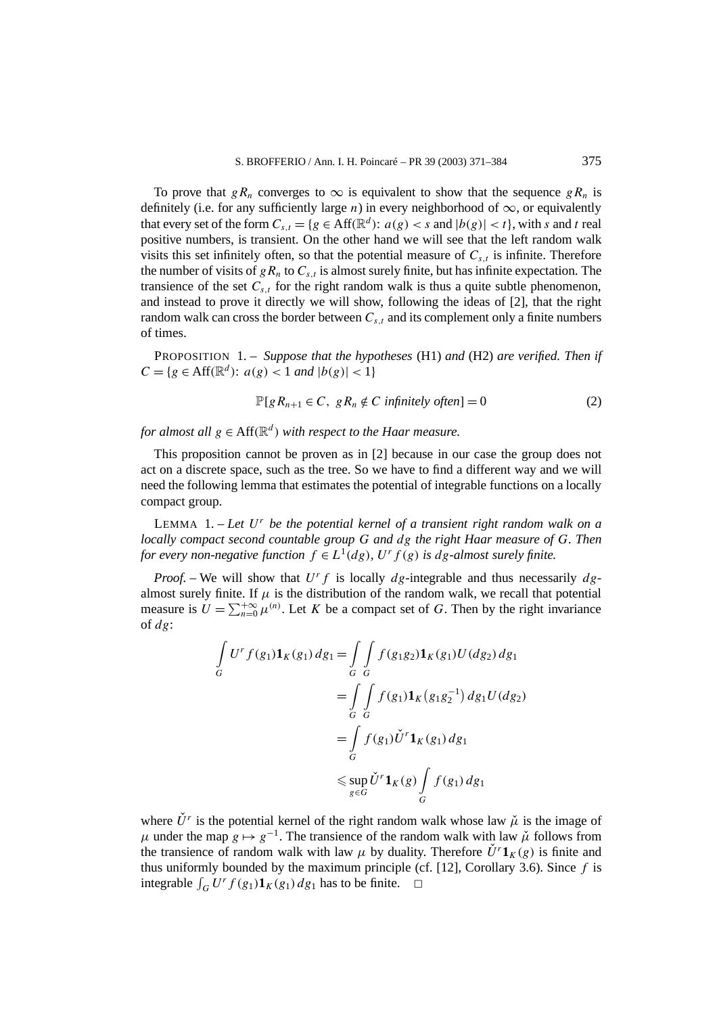To prove that  $gR_n$  converges to  $\infty$  is equivalent to show that the sequence  $gR_n$  is definitely (i.e. for any sufficiently large *n*) in every neighborhood of  $\infty$ , or equivalently that every set of the form  $C_{s,t} = \{g \in \text{Aff}(\mathbb{R}^d) : a(g) < s \text{ and } |b(g)| < t\}$ , with *s* and *t* real positive numbers, is transient. On the other hand we will see that the left random walk visits this set infinitely often, so that the potential measure of  $C_{s,t}$  is infinite. Therefore the number of visits of  $gR_n$  to  $C_{s,t}$  is almost surely finite, but has infinite expectation. The transience of the set  $C_{s,t}$  for the right random walk is thus a quite subtle phenomenon, and instead to prove it directly we will show, following the ideas of [2], that the right random walk can cross the border between  $C_{s,t}$  and its complement only a finite numbers of times.

PROPOSITION 1. – *Suppose that the hypotheses* (H1) *and* (H2) *are verified. Then if*  $C = \{g \in \text{Aff}(\mathbb{R}^d): a(g) < 1 \text{ and } |b(g)| < 1\}$ 

$$
\mathbb{P}[gR_{n+1} \in C, gR_n \notin C \text{ infinitely often}] = 0 \tag{2}
$$

*for almost all*  $g \in Aff(\mathbb{R}^d)$  *with respect to the Haar measure.* 

This proposition cannot be proven as in [2] because in our case the group does not act on a discrete space, such as the tree. So we have to find a different way and we will need the following lemma that estimates the potential of integrable functions on a locally compact group.

LEMMA 1. – *Let U<sup>r</sup> be the potential kernel of a transient right random walk on a locally compact second countable group G and dg the right Haar measure of G. Then for every non-negative function*  $f \in L^1(dg)$ ,  $U^r f(g)$  *is dg-almost surely finite.* 

*Proof.* – We will show that  $U^r f$  is locally *dg*-integrable and thus necessarily *dg*almost surely finite. If  $\mu$  is the distribution of the random walk, we recall that potential measure is  $U = \sum_{n=0}^{+\infty} \mu^{(n)}$ . Let *K* be a compact set of *G*. Then by the right invariance of *dg*:

$$
\int_{G} U^{r} f(g_{1}) \mathbf{1}_{K}(g_{1}) dg_{1} = \int_{G} \int_{G} f(g_{1}g_{2}) \mathbf{1}_{K}(g_{1}) U(dg_{2}) dg_{1}
$$
\n
$$
= \int_{G} \int_{G} f(g_{1}) \mathbf{1}_{K}(g_{1}g_{2}^{-1}) dg_{1} U(dg_{2})
$$
\n
$$
= \int_{G} f(g_{1}) U^{r} \mathbf{1}_{K}(g_{1}) dg_{1}
$$
\n
$$
\leq \sup_{g \in G} U^{r} \mathbf{1}_{K}(g) \int_{G} f(g_{1}) dg_{1}
$$

where  $\check{U}^r$  is the potential kernel of the right random walk whose law  $\check{\mu}$  is the image of  $\mu$  under the map *g*  $\mapsto$  *g*<sup>−1</sup>. The transience of the random walk with law  $\check{\mu}$  follows from the transience of random walk with law  $\mu$  by duality. Therefore  $\check{U}^r \mathbf{1}_K(g)$  is finite and thus uniformly bounded by the maximum principle (cf.  $[12]$ , Corollary 3.6). Since *f* is integrable  $\int_G U^r f(g_1) \mathbf{1}_K(g_1) dg_1$  has to be finite.  $\Box$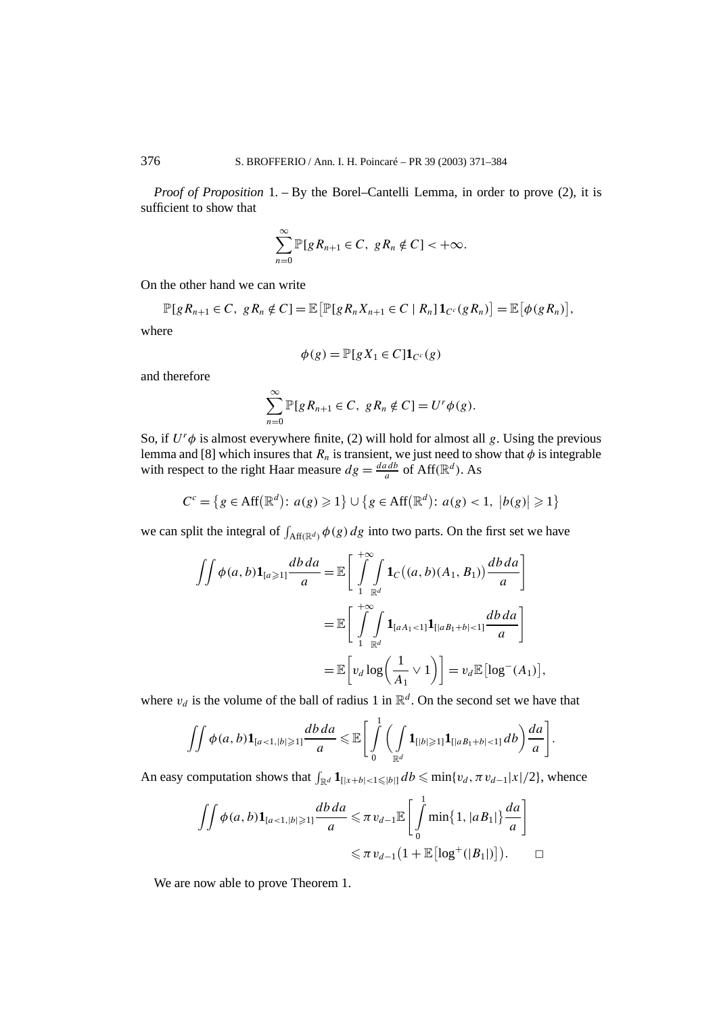*Proof of Proposition* 1*. –* By the Borel–Cantelli Lemma, in order to prove (2), it is sufficient to show that

$$
\sum_{n=0}^{\infty} \mathbb{P}[gR_{n+1} \in C, gR_n \notin C] < +\infty.
$$

On the other hand we can write

 $\mathbb{P}[gR_{n+1} \in C, gR_n \notin C] = \mathbb{E}[\mathbb{P}[gR_n X_{n+1} \in C \mid R_n] \mathbb{1}_{C^c}(gR_n)] = \mathbb{E}[\phi(gR_n)],$ where

$$
\phi(g) = \mathbb{P}[gX_1 \in C] \mathbf{1}_{C^c}(g)
$$

and therefore

$$
\sum_{n=0}^{\infty} \mathbb{P}[gR_{n+1} \in C, gR_n \notin C] = U^r \phi(g).
$$

So, if  $U^r \phi$  is almost everywhere finite, (2) will hold for almost all *g*. Using the previous lemma and [8] which insures that  $R_n$  is transient, we just need to show that  $\phi$  is integrable with respect to the right Haar measure  $dg = \frac{dadb}{a}$  of Aff( $\mathbb{R}^d$ ). As

$$
C^{c} = \{ g \in \text{Aff}(\mathbb{R}^{d}) : a(g) \geq 1 \} \cup \{ g \in \text{Aff}(\mathbb{R}^{d}) : a(g) < 1, |b(g)| \geq 1 \}
$$

we can split the integral of  $\int_{\text{Aff}(\mathbb{R}^d)} \phi(g) dg$  into two parts. On the first set we have

$$
\iint \phi(a, b) \mathbf{1}_{[a \ge 1]} \frac{db \, da}{a} = \mathbb{E} \bigg[ \int_{1}^{+\infty} \int_{\mathbb{R}^d} \mathbf{1}_C((a, b)(A_1, B_1)) \frac{db \, da}{a} \bigg]
$$

$$
= \mathbb{E} \bigg[ \int_{1}^{+\infty} \int_{\mathbb{R}^d} \mathbf{1}_{[aA_1 < 1]} \mathbf{1}_{[|aB_1 + b| < 1]} \frac{db \, da}{a} \bigg]
$$

$$
= \mathbb{E} \bigg[ v_d \log \bigg( \frac{1}{A_1} \vee 1 \bigg) \bigg] = v_d \mathbb{E} \big[ \log^-(A_1) \big],
$$

where  $v_d$  is the volume of the ball of radius 1 in  $\mathbb{R}^d$ . On the second set we have that

$$
\iint \phi(a,b) \mathbf{1}_{[a<1,|b|\geqslant 1]} \frac{db\,da}{a} \leqslant \mathbb{E}\bigg[\int\limits_{0}^{1} \bigg(\int\limits_{\mathbb{R}^d} \mathbf{1}_{[|b|\geqslant 1]} \mathbf{1}_{[|aB_1+b|< 1]} \,db\bigg)\frac{da}{a}\bigg].
$$

An easy computation shows that  $\int_{\mathbb{R}^d} 1_{[|x+b|<1\leqslant|b|]} db \leqslant \min\{v_d, \pi v_{d-1}|x|/2\}$ , whence

$$
\iint \phi(a,b) \mathbf{1}_{[a<1,|b|\geqslant 1]} \frac{db\,da}{a} \leqslant \pi v_{d-1} \mathbb{E}\left[\int_{0}^{1} \min\{1, |aB_{1}|\} \frac{da}{a}\right]
$$

$$
\leqslant \pi v_{d-1} \big(1 + \mathbb{E}\left[\log^{+}(|B_{1}|\right)\right]. \qquad \Box
$$

We are now able to prove Theorem 1.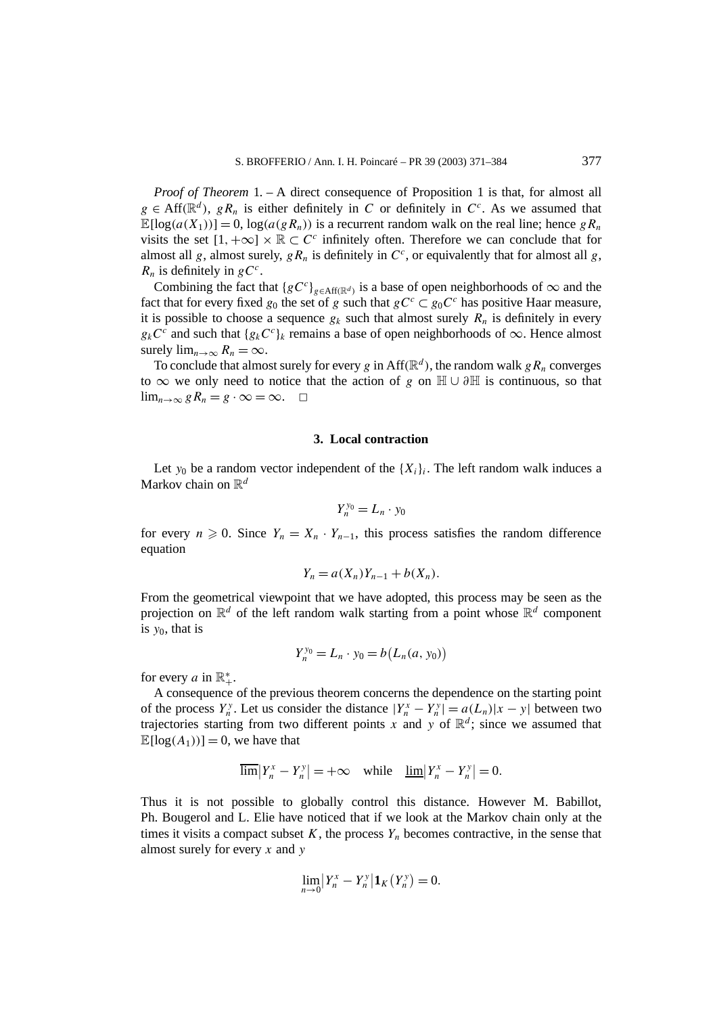*Proof of Theorem* 1. – A direct consequence of Proposition 1 is that, for almost all  $g \in \text{Aff}(\mathbb{R}^d)$ ,  $gR_n$  is either definitely in *C* or definitely in *C<sup>c</sup>*. As we assumed that  $\mathbb{E}[\log(a(X_1))] = 0$ ,  $\log(a(gR_n))$  is a recurrent random walk on the real line; hence *gR<sub>n</sub>* visits the set  $[1,+\infty] \times \mathbb{R} \subset C^c$  infinitely often. Therefore we can conclude that for almost all *g*, almost surely,  $gR_n$  is definitely in  $C^c$ , or equivalently that for almost all *g*,  $R_n$  is definitely in  $gC^c$ .

Combining the fact that  ${gC^c}_{g \in Aff(\mathbb{R}^d)}$  is a base of open neighborhoods of  $\infty$  and the fact that for every fixed  $g_0$  the set of *g* such that  $gC^c \subset g_0C^c$  has positive Haar measure, it is possible to choose a sequence  $g_k$  such that almost surely  $R_n$  is definitely in every  $g_kC^c$  and such that  ${g_kC^c}_k$  remains a base of open neighborhoods of  $\infty$ . Hence almost surely  $\lim_{n\to\infty} R_n = \infty$ .

To conclude that almost surely for every *g* in  $Aff(\mathbb{R}^d)$ , the random walk *gR<sub>n</sub>* converges to ∞ we only need to notice that the action of *g* on H ∪ *∂*H is continuous, so that lim<sub>n→∞</sub>  $gR_n = g \cdot \infty = \infty$ .  $\Box$ 

#### **3. Local contraction**

Let  $y_0$  be a random vector independent of the  $\{X_i\}_i$ . The left random walk induces a Markov chain on R*<sup>d</sup>*

$$
Y_n^{y_0}=L_n\cdot y_0
$$

for every  $n \ge 0$ . Since  $Y_n = X_n \cdot Y_{n-1}$ , this process satisfies the random difference equation

$$
Y_n = a(X_n)Y_{n-1} + b(X_n).
$$

From the geometrical viewpoint that we have adopted, this process may be seen as the projection on  $\mathbb{R}^d$  of the left random walk starting from a point whose  $\mathbb{R}^d$  component is *y*0, that is

 $Y_n^{y_0} = L_n \cdot y_0 = b(L_n(a, y_0))$ 

for every *a* in  $\mathbb{R}^*_+$ .

A consequence of the previous theorem concerns the dependence on the starting point of the process  $Y_n^y$ . Let us consider the distance  $|Y_n^x - Y_n^y| = a(L_n)|x - y|$  between two trajectories starting from two different points *x* and *y* of  $\mathbb{R}^d$ ; since we assumed that  $\mathbb{E}[\log(A_1)] = 0$ , we have that

$$
\overline{\lim}|Y_n^x - Y_n^y| = +\infty \quad \text{while} \quad \underline{\lim}|Y_n^x - Y_n^y| = 0.
$$

Thus it is not possible to globally control this distance. However M. Babillot, Ph. Bougerol and L. Elie have noticed that if we look at the Markov chain only at the times it visits a compact subset  $K$ , the process  $Y_n$  becomes contractive, in the sense that almost surely for every *x* and *y*

$$
\lim_{n \to 0} |Y_n^x - Y_n^y| \mathbf{1}_K(Y_n^y) = 0.
$$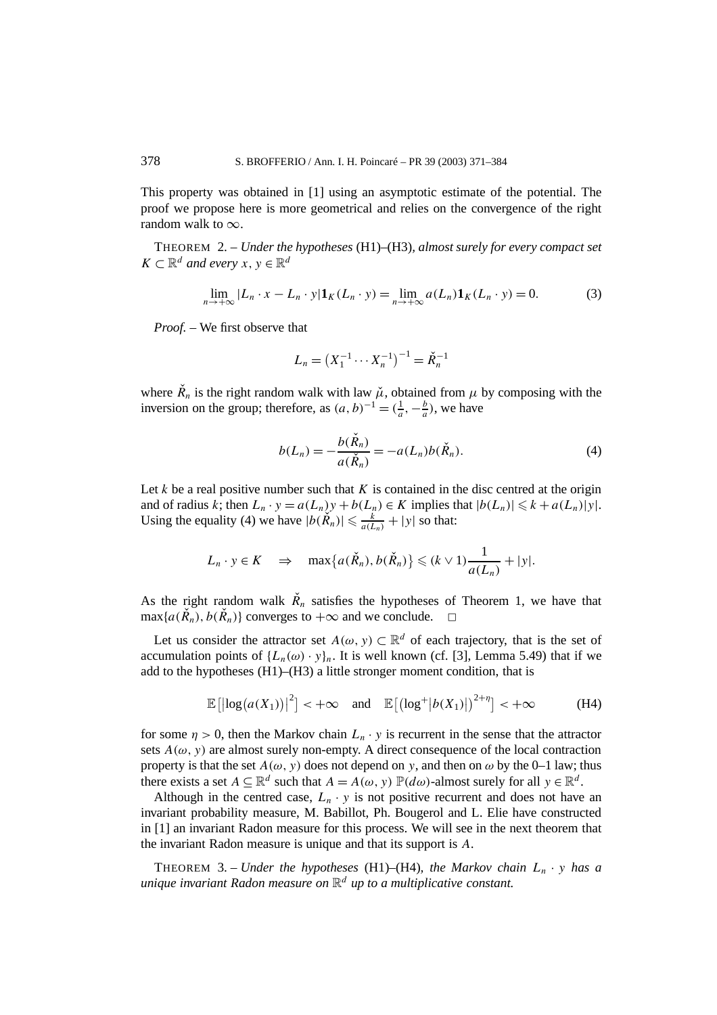This property was obtained in [1] using an asymptotic estimate of the potential. The proof we propose here is more geometrical and relies on the convergence of the right random walk to  $\infty$ .

THEOREM 2. – *Under the hypotheses* (H1)–(H3)*, almost surely for every compact set*  $K \subset \mathbb{R}^d$  *and every*  $x, y \in \mathbb{R}^d$ 

$$
\lim_{n \to +\infty} |L_n \cdot x - L_n \cdot y| \mathbf{1}_K(L_n \cdot y) = \lim_{n \to +\infty} a(L_n) \mathbf{1}_K(L_n \cdot y) = 0.
$$
 (3)

*Proof. –* We first observe that

$$
L_n = (X_1^{-1} \cdots X_n^{-1})^{-1} = \check{R}_n^{-1}
$$

where  $\check{R}_n$  is the right random walk with law  $\check{\mu}$ , obtained from  $\mu$  by composing with the inversion on the group; therefore, as  $(a, b)^{-1} = (\frac{1}{a}, -\frac{b}{a})$ , we have

$$
b(L_n) = -\frac{b(\check{R}_n)}{a(\check{R}_n)} = -a(L_n)b(\check{R}_n).
$$
 (4)

Let  $k$  be a real positive number such that  $K$  is contained in the disc centred at the origin and of radius *k*; then  $L_n \cdot y = a(L_n)y + b(L_n) \in K$  implies that  $|b(L_n)| \leq k + a(L_n)|y|$ . Using the equality (4) we have  $|b(\tilde{R}_n)| \leq \frac{k}{a(L_n)} + |y|$  so that:

$$
L_n \cdot y \in K \quad \Rightarrow \quad \max\{a(\check{R}_n), b(\check{R}_n)\} \leq (k \vee 1) \frac{1}{a(L_n)} + |y|.
$$

As the right random walk  $\check{R}_n$  satisfies the hypotheses of Theorem 1, we have that  $\max\{a(\check{R}_n), b(\check{R}_n)\}\)$  converges to  $+\infty$  and we conclude.  $\Box$ 

Let us consider the attractor set  $A(\omega, y) \subset \mathbb{R}^d$  of each trajectory, that is the set of accumulation points of  $\{L_n(\omega) \cdot y\}_n$ . It is well known (cf. [3], Lemma 5.49) that if we add to the hypotheses (H1)–(H3) a little stronger moment condition, that is

$$
\mathbb{E}\left[\left|\log(a(X_1))\right|^2\right] < +\infty \quad \text{and} \quad \mathbb{E}\left[\left(\log^+|b(X_1)|\right)^{2+\eta}\right] < +\infty \tag{H4}
$$

for some  $\eta > 0$ , then the Markov chain  $L_n \cdot y$  is recurrent in the sense that the attractor sets  $A(\omega, y)$  are almost surely non-empty. A direct consequence of the local contraction property is that the set  $A(\omega, y)$  does not depend on *y*, and then on  $\omega$  by the 0–1 law; thus there exists a set  $A \subseteq \mathbb{R}^d$  such that  $A = A(\omega, y) \mathbb{P}(d\omega)$ -almost surely for all  $y \in \mathbb{R}^d$ .

Although in the centred case,  $L_n \cdot y$  is not positive recurrent and does not have an invariant probability measure, M. Babillot, Ph. Bougerol and L. Elie have constructed in [1] an invariant Radon measure for this process. We will see in the next theorem that the invariant Radon measure is unique and that its support is *A*.

THEOREM 3. – *Under the hypotheses* (H1)–(H4)*, the Markov chain*  $L_n \cdot y$  *has a unique invariant Radon measure on* R*<sup>d</sup> up to a multiplicative constant.*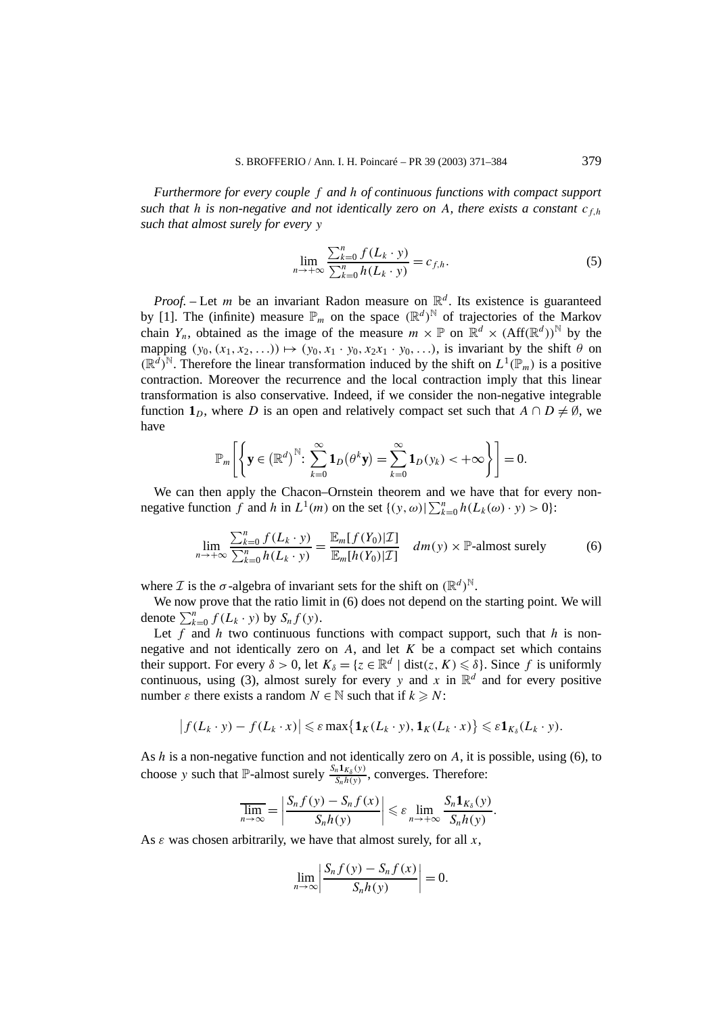*Furthermore for every couple f and h of continuous functions with compact support such that h is non-negative and not identically zero on A, there exists a constant*  $c_{fh}$ *such that almost surely for every y*

$$
\lim_{n \to +\infty} \frac{\sum_{k=0}^{n} f(L_k \cdot y)}{\sum_{k=0}^{n} h(L_k \cdot y)} = c_{f,h}.
$$
\n(5)

*Proof.* – Let *m* be an invariant Radon measure on  $\mathbb{R}^d$ . Its existence is guaranteed by [1]. The (infinite) measure  $\mathbb{P}_m$  on the space  $(\mathbb{R}^d)^{\mathbb{N}}$  of trajectories of the Markov chain *Y<sub>n</sub>*, obtained as the image of the measure  $m \times \mathbb{P}$  on  $\mathbb{R}^d \times (Aff(\mathbb{R}^d))^{\mathbb{N}}$  by the mapping  $(y_0, (x_1, x_2, \ldots)) \mapsto (y_0, x_1 \cdot y_0, x_2x_1 \cdot y_0, \ldots)$ , is invariant by the shift  $\theta$  on  $(\mathbb{R}^d)^{\mathbb{N}}$ . Therefore the linear transformation induced by the shift on  $L^1(\mathbb{P}_m)$  is a positive contraction. Moreover the recurrence and the local contraction imply that this linear transformation is also conservative. Indeed, if we consider the non-negative integrable function  $\mathbf{1}_D$ , where *D* is an open and relatively compact set such that  $A \cap D \neq \emptyset$ , we have

$$
\mathbb{P}_m\bigg[\bigg\{{\bf y}\in\left(\mathbb{R}^d\right)^{\mathbb{N}}:\ \sum_{k=0}^{\infty}{\bf 1}_D\big(\theta^k{\bf y}\big)=\sum_{k=0}^{\infty}{\bf 1}_D(y_k)<+\infty\bigg\}\bigg]=0.
$$

We can then apply the Chacon–Ornstein theorem and we have that for every nonnegative function *f* and *h* in  $L^1(m)$  on the set  $\{(y, \omega) | \sum_{k=0}^n h(L_k(\omega) \cdot y) > 0\}$ :

$$
\lim_{n \to +\infty} \frac{\sum_{k=0}^{n} f(L_k \cdot y)}{\sum_{k=0}^{n} h(L_k \cdot y)} = \frac{\mathbb{E}_m[f(Y_0)|\mathcal{I}]}{\mathbb{E}_m[h(Y_0)|\mathcal{I}]} \quad dm(y) \times \mathbb{P}\text{-almost surely}
$$
\n(6)

where  $\mathcal{I}$  is the  $\sigma$ -algebra of invariant sets for the shift on  $(\mathbb{R}^d)^{\mathbb{N}}$ .

We now prove that the ratio limit in  $(6)$  does not depend on the starting point. We will denote  $\sum_{k=0}^{n} f(L_k \cdot y)$  by  $S_n f(y)$ .

Let  $f$  and  $h$  two continuous functions with compact support, such that  $h$  is nonnegative and not identically zero on  $A$ , and let  $K$  be a compact set which contains their support. For every  $\delta > 0$ , let  $K_{\delta} = \{z \in \mathbb{R}^d \mid \text{dist}(z, K) \leq \delta\}$ . Since f is uniformly continuous, using (3), almost surely for every *y* and *x* in  $\mathbb{R}^d$  and for every positive number  $\varepsilon$  there exists a random  $N \in \mathbb{N}$  such that if  $k \geq N$ :

$$
\big|f(L_k\cdot y)-f(L_k\cdot x)\big|\leqslant \varepsilon \max\big\{\mathbf{1}_K(L_k\cdot y),\mathbf{1}_K(L_k\cdot x)\big\}\leqslant \varepsilon\mathbf{1}_{K_\delta}(L_k\cdot y).
$$

As *h* is a non-negative function and not identically zero on *A*, it is possible, using (6), to choose *y* such that  $\mathbb{P}$ -almost surely  $\frac{S_n \mathbf{1}_{K_\delta}(y)}{S_n h(y)}$ , converges. Therefore:

$$
\overline{\lim}_{n\to\infty}=\left|\frac{S_nf(y)-S_nf(x)}{S_nh(y)}\right|\leq \varepsilon \lim_{n\to+\infty}\frac{S_n\mathbf{1}_{K_\delta}(y)}{S_nh(y)}.
$$

As  $\varepsilon$  was chosen arbitrarily, we have that almost surely, for all  $x$ ,

$$
\lim_{n\to\infty}\left|\frac{S_nf(y)-S_nf(x)}{S_nh(y)}\right|=0.
$$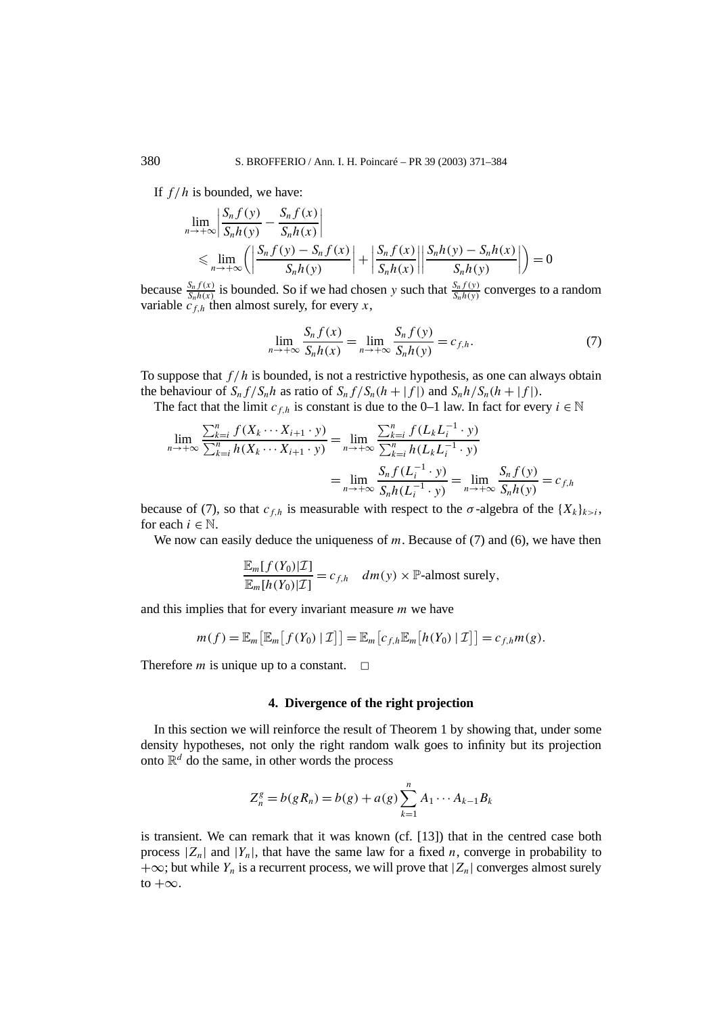If *f/h* is bounded, we have:

$$
\lim_{n \to +\infty} \left| \frac{S_n f(y)}{S_n h(y)} - \frac{S_n f(x)}{S_n h(x)} \right|
$$
\n
$$
\leq \lim_{n \to +\infty} \left( \left| \frac{S_n f(y) - S_n f(x)}{S_n h(y)} \right| + \left| \frac{S_n f(x)}{S_n h(x)} \right| \right| \frac{S_n h(y) - S_n h(x)}{S_n h(y)} \right| = 0
$$

because  $\frac{S_n f(x)}{S_n h(x)}$  is bounded. So if we had chosen *y* such that  $\frac{S_n f(y)}{S_n h(y)}$  converges to a random variable  $c_{fh}$  then almost surely, for every *x*,

$$
\lim_{n \to +\infty} \frac{S_n f(x)}{S_n h(x)} = \lim_{n \to +\infty} \frac{S_n f(y)}{S_n h(y)} = c_{f,h}.
$$
\n(7)

To suppose that *f/h* is bounded, is not a restrictive hypothesis, as one can always obtain the behaviour of  $S_n f / S_n h$  as ratio of  $S_n f / S_n (h + |f|)$  and  $S_n h / S_n (h + |f|)$ .

The fact that the limit  $c_{f,h}$  is constant is due to the 0–1 law. In fact for every  $i \in \mathbb{N}$ 

$$
\lim_{n \to +\infty} \frac{\sum_{k=i}^{n} f(X_k \cdots X_{i+1} \cdot y)}{\sum_{k=i}^{n} h(X_k \cdots X_{i+1} \cdot y)} = \lim_{n \to +\infty} \frac{\sum_{k=i}^{n} f(L_k L_i^{-1} \cdot y)}{\sum_{k=i}^{n} h(L_k L_i^{-1} \cdot y)}
$$
\n
$$
= \lim_{n \to +\infty} \frac{S_n f(L_i^{-1} \cdot y)}{S_n h(L_i^{-1} \cdot y)} = \lim_{n \to +\infty} \frac{S_n f(y)}{S_n h(y)} = c_{f,h}
$$

because of (7), so that  $c_{f,h}$  is measurable with respect to the  $\sigma$ -algebra of the  $\{X_k\}_{k>i}$ , for each  $i \in \mathbb{N}$ .

We now can easily deduce the uniqueness of *m*. Because of (7) and (6), we have then

$$
\frac{\mathbb{E}_m[f(Y_0)|\mathcal{I}]}{\mathbb{E}_m[h(Y_0)|\mathcal{I}]} = c_{f,h} \quad dm(y) \times \mathbb{P}\text{-almost surely},
$$

and this implies that for every invariant measure *m* we have

$$
m(f) = \mathbb{E}_m \big[ \mathbb{E}_m \big[ f(Y_0) \mid \mathcal{I} \big] \big] = \mathbb{E}_m \big[ c_{f,h} \mathbb{E}_m \big[ h(Y_0) \mid \mathcal{I} \big] \big] = c_{f,h} m(g).
$$

Therefore *m* is unique up to a constant.  $\Box$ 

#### **4. Divergence of the right projection**

In this section we will reinforce the result of Theorem 1 by showing that, under some density hypotheses, not only the right random walk goes to infinity but its projection onto  $\mathbb{R}^d$  do the same, in other words the process

$$
Z_n^g = b(gR_n) = b(g) + a(g) \sum_{k=1}^n A_1 \cdots A_{k-1} B_k
$$

is transient. We can remark that it was known (cf. [13]) that in the centred case both process  $|Z_n|$  and  $|Y_n|$ , that have the same law for a fixed *n*, converge in probability to + $\infty$ ; but while  $Y_n$  is a recurrent process, we will prove that  $|Z_n|$  converges almost surely to  $+\infty$ .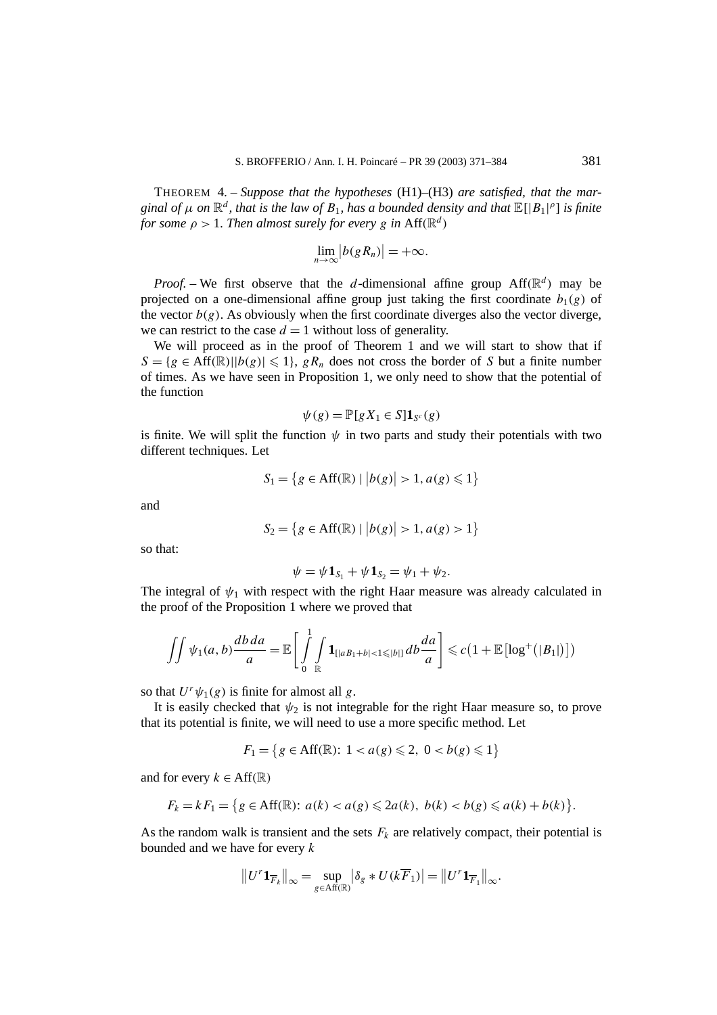THEOREM 4. – *Suppose that the hypotheses* (H1)–(H3) *are satisfied, that the marginal of*  $\mu$  *on*  $\mathbb{R}^d$ *, that is the law of*  $B_1$ *, has a bounded density and that*  $\mathbb{E}[|B_1|^{\rho}]$  *is finite for some*  $\rho > 1$ *. Then almost surely for every g in* Aff $(\mathbb{R}^d)$ 

$$
\lim_{n\to\infty}|b(gR_n)|=+\infty.
$$

*Proof.* – We first observe that the *d*-dimensional affine group  $Aff(\mathbb{R}^d)$  may be projected on a one-dimensional affine group just taking the first coordinate  $b_1(g)$  of the vector  $b(g)$ . As obviously when the first coordinate diverges also the vector diverge, we can restrict to the case  $d = 1$  without loss of generality.

We will proceed as in the proof of Theorem 1 and we will start to show that if  $S = \{g \in \text{Aff}(\mathbb{R}) \mid |b(g)| \leq 1\}$ ,  $gR_n$  does not cross the border of *S* but a finite number of times. As we have seen in Proposition 1, we only need to show that the potential of the function

$$
\psi(g) = \mathbb{P}[gX_1 \in S] \mathbf{1}_{S^c}(g)
$$

is finite. We will split the function  $\psi$  in two parts and study their potentials with two different techniques. Let

$$
S_1 = \{ g \in Aff(\mathbb{R}) \mid |b(g)| > 1, a(g) \leq 1 \}
$$

and

$$
S_2 = \{ g \in Aff(\mathbb{R}) \mid |b(g)| > 1, a(g) > 1 \}
$$

so that:

$$
\psi = \psi \mathbf{1}_{S_1} + \psi \mathbf{1}_{S_2} = \psi_1 + \psi_2.
$$

The integral of  $\psi_1$  with respect with the right Haar measure was already calculated in the proof of the Proposition 1 where we proved that

$$
\iint \psi_1(a,b)\frac{db\,da}{a} = \mathbb{E}\left[\int_0^1 \int_{\mathbb{R}} \mathbf{1}_{[|aB_1+b|<1\leqslant|b|]}db\frac{da}{a}\right] \leqslant c\left(1+\mathbb{E}\left[\log^+\left(|B_1|\right)\right]\right)
$$

so that  $U^r \psi_1(g)$  is finite for almost all *g*.

It is easily checked that  $\psi_2$  is not integrable for the right Haar measure so, to prove that its potential is finite, we will need to use a more specific method. Let

$$
F_1 = \{ g \in Aff(\mathbb{R}) : 1 < a(g) \leq 2, \ 0 < b(g) \leq 1 \}
$$

and for every  $k \in \text{Aff}(\mathbb{R})$ 

$$
F_k = kF_1 = \{ g \in \text{Aff}(\mathbb{R}) : a(k) < a(g) \leq 2a(k), \ b(k) < b(g) \leq a(k) + b(k) \}.
$$

As the random walk is transient and the sets  $F_k$  are relatively compact, their potential is bounded and we have for every *k*

$$
||U^r \mathbf{1}_{\overline{F}_k}||_{\infty} = \sup_{g \in \text{Aff}(\mathbb{R})} |\delta_g * U(k \overline{F}_1)| = ||U^r \mathbf{1}_{\overline{F}_1}||_{\infty}.
$$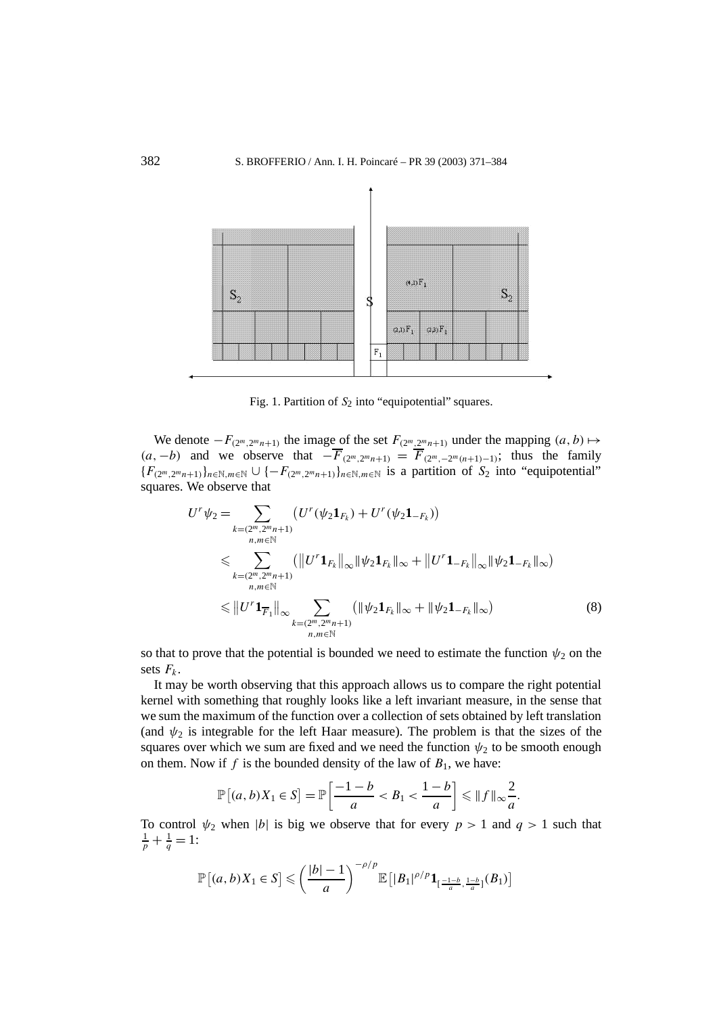

Fig. 1. Partition of  $S_2$  into "equipotential" squares.

We denote  $-F_{(2^m,2^m n+1)}$  the image of the set  $F_{(2^m,2^m n+1)}$  under the mapping  $(a, b) \mapsto$ (*a,*−*b*) and we observe that  $-\overline{F}_{(2^m,2^m n+1)} = \overline{F}_{(2^m,-2^m (n+1)-1)}$ ; thus the family  ${F_{(2^m,2^m n+1)}}_{n \in \mathbb{N}, m \in \mathbb{N}}$   $\cup$   ${-F_{(2^m,2^m n+1)}}_{n \in \mathbb{N}, m \in \mathbb{N}}$  is a partition of  $S_2$  into "equipotential" squares. We observe that

$$
U^{r}\psi_{2} = \sum_{k=(2^{m},2^{m}n+1)} (U^{r}(\psi_{2}\mathbf{1}_{F_{k}}) + U^{r}(\psi_{2}\mathbf{1}_{-F_{k}}))
$$
  
\n
$$
\leqslant \sum_{k=(2^{m},2^{m}n+1)} (||U^{r}\mathbf{1}_{F_{k}}||_{\infty}||\psi_{2}\mathbf{1}_{F_{k}}||_{\infty} + ||U^{r}\mathbf{1}_{-F_{k}}||_{\infty}||\psi_{2}\mathbf{1}_{-F_{k}}||_{\infty})
$$
  
\n
$$
\leqslant ||U^{r}\mathbf{1}_{F_{1}}||_{\infty} \sum_{k=(2^{m},2^{m}n+1)} (||\psi_{2}\mathbf{1}_{F_{k}}||_{\infty} + ||\psi_{2}\mathbf{1}_{-F_{k}}||_{\infty})
$$
  
\n
$$
(8)
$$

so that to prove that the potential is bounded we need to estimate the function  $\psi_2$  on the sets  $F_k$ .

It may be worth observing that this approach allows us to compare the right potential kernel with something that roughly looks like a left invariant measure, in the sense that we sum the maximum of the function over a collection of sets obtained by left translation (and  $\psi_2$  is integrable for the left Haar measure). The problem is that the sizes of the squares over which we sum are fixed and we need the function  $\psi_2$  to be smooth enough on them. Now if  $f$  is the bounded density of the law of  $B_1$ , we have:

$$
\mathbb{P}\left[(a,b)X_1 \in S\right] = \mathbb{P}\left[\frac{-1-b}{a} < B_1 < \frac{1-b}{a}\right] \leq \|f\|_{\infty} \frac{2}{a}.
$$

To control  $\psi_2$  when |b| is big we observe that for every  $p > 1$  and  $q > 1$  such that  $\frac{1}{p} + \frac{1}{q} = 1$ :

$$
\mathbb{P}\left[(a,b)X_1 \in S\right] \leqslant \left(\frac{|b|-1}{a}\right)^{-\rho/p} \mathbb{E}\left[|B_1|^{\rho/p}\mathbf{1}_{\left[-\frac{1-b}{a},\frac{1-b}{a}\right]}(B_1)\right]
$$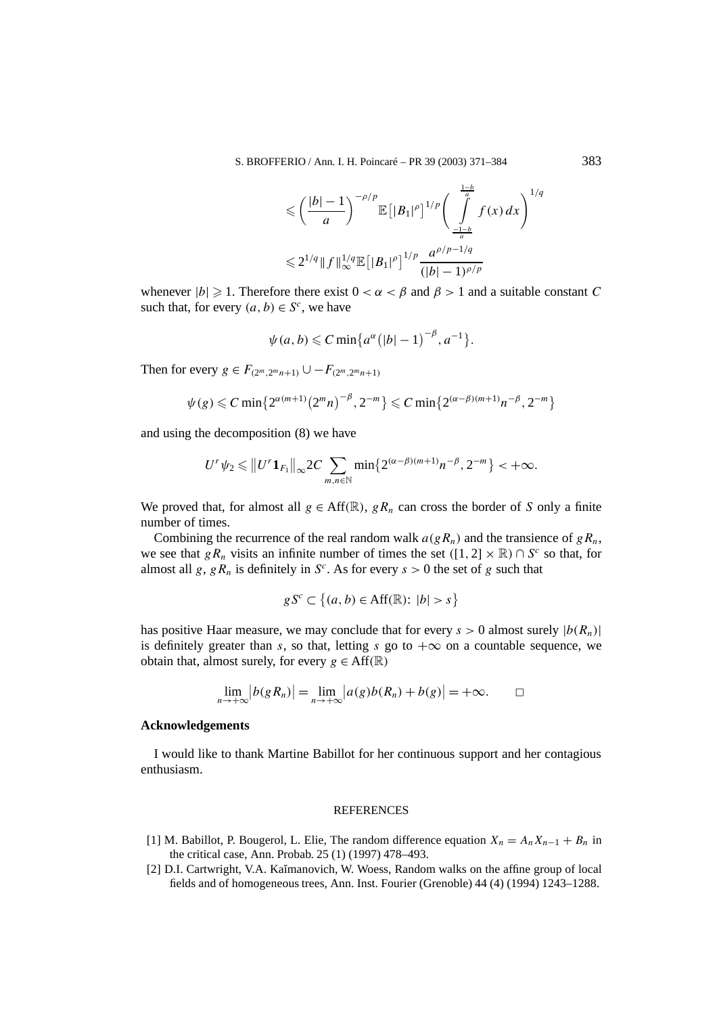$$
\leqslant \left(\frac{|b|-1}{a}\right)^{-\rho/p} \mathbb{E}\left[|B_1|^{\rho}\right]^{1/p} \left(\int_{\frac{-1-b}{a}}^{\frac{1-b}{a}} f(x) \, dx\right)^{1/q}
$$

$$
\leqslant 2^{1/q} \|f\|_{\infty}^{1/q} \mathbb{E}\left[|B_1|^{\rho}\right]^{1/p} \frac{a^{\rho/p-1/q}}{(|b|-1)^{\rho/p}}
$$

whenever  $|b| \geq 1$ . Therefore there exist  $0 < \alpha < \beta$  and  $\beta > 1$  and a suitable constant *C* such that, for every  $(a, b) \in S^c$ , we have

$$
\psi(a,b) \leqslant C \min\bigl\{a^{\alpha}\bigl(|b|-1\bigr)^{-\beta}, a^{-1}\bigr\}.
$$

Then for every *g* ∈  $F_{(2^m 2^m n+1)}$  ∪ −  $F_{(2^m 2^m n+1)}$ 

$$
\psi(g) \leq C \min \{ 2^{\alpha(m+1)} (2^m n)^{-\beta}, 2^{-m} \} \leq C \min \{ 2^{(\alpha-\beta)(m+1)} n^{-\beta}, 2^{-m} \}
$$

and using the decomposition (8) we have

$$
U^r\psi_2\leqslant \left\|U^r\mathbf{1}_{F_1}\right\|_{\infty}2C\sum_{m,n\in\mathbb{N}}\min\{2^{(\alpha-\beta)(m+1)}n^{-\beta},2^{-m}\}<+\infty.
$$

We proved that, for almost all  $g \in Aff(\mathbb{R})$ ,  $gR_n$  can cross the border of *S* only a finite number of times.

Combining the recurrence of the real random walk  $a(gR_n)$  and the transience of  $gR_n$ , we see that *gR<sub>n</sub>* visits an infinite number of times the set  $([1, 2] \times \mathbb{R}) \cap S^c$  so that, for almost all *g*,  $gR_n$  is definitely in *S<sup>c</sup>*. As for every  $s > 0$  the set of *g* such that

$$
gS^{c} \subset \{(a, b) \in \text{Aff}(\mathbb{R}) : |b| > s\}
$$

has positive Haar measure, we may conclude that for every  $s > 0$  almost surely  $|b(R_n)|$ is definitely greater than *s*, so that, letting *s* go to  $+\infty$  on a countable sequence, we obtain that, almost surely, for every  $g \in Aff(\mathbb{R})$ 

$$
\lim_{n \to +\infty} |b(gR_n)| = \lim_{n \to +\infty} |a(g)b(R_n) + b(g)| = +\infty. \qquad \Box
$$

#### **Acknowledgements**

I would like to thank Martine Babillot for her continuous support and her contagious enthusiasm.

#### REFERENCES

- [1] M. Babillot, P. Bougerol, L. Elie, The random difference equation  $X_n = A_n X_{n-1} + B_n$  in the critical case, Ann. Probab. 25 (1) (1997) 478–493.
- [2] D.I. Cartwright, V.A. Kaĭmanovich, W. Woess, Random walks on the affine group of local fields and of homogeneous trees, Ann. Inst. Fourier (Grenoble) 44 (4) (1994) 1243–1288.